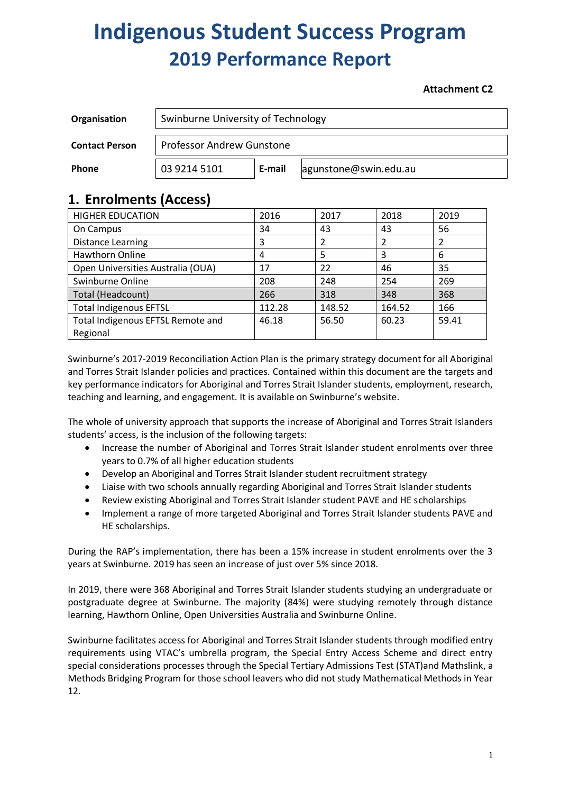# **Indigenous Student Success Program 2019 Performance Report**

## **Attachment C2**

| Organisation          | Swinburne University of Technology |        |                       |  |  |  |
|-----------------------|------------------------------------|--------|-----------------------|--|--|--|
| <b>Contact Person</b> | <b>Professor Andrew Gunstone</b>   |        |                       |  |  |  |
| Phone                 | 03 9214 5101                       | E-mail | agunstone@swin.edu.au |  |  |  |

# **1. Enrolments (Access)**

| <b>HIGHER EDUCATION</b>           | 2016   | 2017   | 2018   | 2019           |
|-----------------------------------|--------|--------|--------|----------------|
| On Campus                         | 34     | 43     | 43     | 56             |
| <b>Distance Learning</b>          | 3      | 2      | 2      | $\overline{2}$ |
| Hawthorn Online                   | 4      | 5      | 3      | 6              |
| Open Universities Australia (OUA) | 17     | 22     | 46     | 35             |
| Swinburne Online                  | 208    | 248    | 254    | 269            |
| Total (Headcount)                 | 266    | 318    | 348    | 368            |
| <b>Total Indigenous EFTSL</b>     | 112.28 | 148.52 | 164.52 | 166            |
| Total Indigenous EFTSL Remote and | 46.18  | 56.50  | 60.23  | 59.41          |
| Regional                          |        |        |        |                |

Swinburne's 2017-2019 Reconciliation Action Plan is the primary strategy document for all Aboriginal and Torres Strait Islander policies and practices. Contained within this document are the targets and key performance indicators for Aboriginal and Torres Strait Islander students, employment, research, teaching and learning, and engagement. It is available on Swinburne's website.

The whole of university approach that supports the increase of Aboriginal and Torres Strait Islanders students' access, is the inclusion of the following targets:

- Increase the number of Aboriginal and Torres Strait Islander student enrolments over three years to 0.7% of all higher education students
- Develop an Aboriginal and Torres Strait Islander student recruitment strategy
- Liaise with two schools annually regarding Aboriginal and Torres Strait Islander students
- Review existing Aboriginal and Torres Strait Islander student PAVE and HE scholarships
- Implement a range of more targeted Aboriginal and Torres Strait Islander students PAVE and HE scholarships.

During the RAP's implementation, there has been a 15% increase in student enrolments over the 3 years at Swinburne. 2019 has seen an increase of just over 5% since 2018.

In 2019, there were 368 Aboriginal and Torres Strait Islander students studying an undergraduate or postgraduate degree at Swinburne. The majority (84%) were studying remotely through distance learning, Hawthorn Online, Open Universities Australia and Swinburne Online.

Swinburne facilitates access for Aboriginal and Torres Strait Islander students through modified entry requirements using VTAC's umbrella program, the Special Entry Access Scheme and direct entry special considerations processes through the Special Tertiary Admissions Test (STAT)and Mathslink, a Methods Bridging Program for those school leavers who did not study Mathematical Methods in Year 12.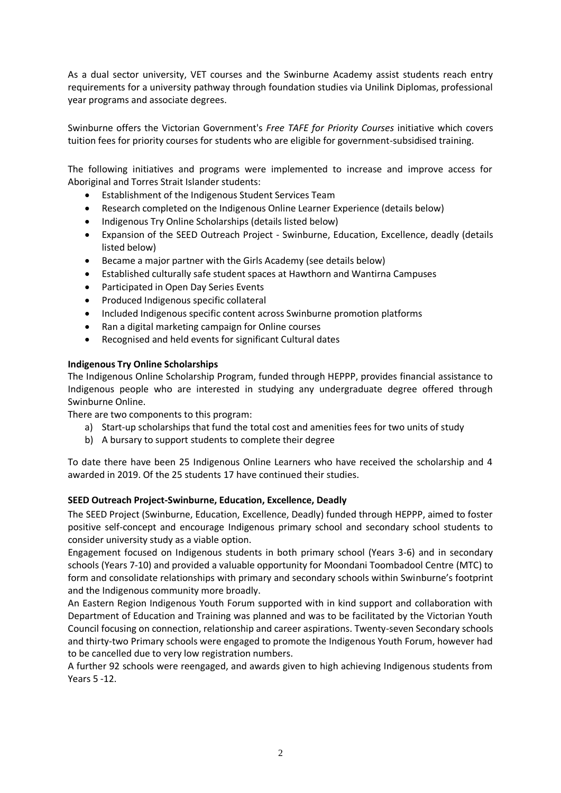As a dual sector university, VET courses and the Swinburne Academy assist students reach entry requirements for a university pathway through foundation studies via Unilink Diplomas, professional year programs and associate degrees.

Swinburne offers the Victorian Government's *Free TAFE for Priority Courses* initiative which covers tuition fees for priority courses for students who are eligible for government-subsidised training.

The following initiatives and programs were implemented to increase and improve access for Aboriginal and Torres Strait Islander students:

- Establishment of the Indigenous Student Services Team
- Research completed on the Indigenous Online Learner Experience (details below)
- Indigenous Try Online Scholarships (details listed below)
- Expansion of the SEED Outreach Project Swinburne, Education, Excellence, deadly (details listed below)
- Became a major partner with the Girls Academy (see details below)
- Established culturally safe student spaces at Hawthorn and Wantirna Campuses
- Participated in Open Day Series Events
- Produced Indigenous specific collateral
- Included Indigenous specific content across Swinburne promotion platforms
- Ran a digital marketing campaign for Online courses
- Recognised and held events for significant Cultural dates

### **Indigenous Try Online Scholarships**

The Indigenous Online Scholarship Program, funded through HEPPP, provides financial assistance to Indigenous people who are interested in studying any undergraduate degree offered through Swinburne Online.

There are two components to this program:

- a) Start-up scholarships that fund the total cost and amenities fees for two units of study
- b) A bursary to support students to complete their degree

To date there have been 25 Indigenous Online Learners who have received the scholarship and 4 awarded in 2019. Of the 25 students 17 have continued their studies.

### **SEED Outreach Project-Swinburne, Education, Excellence, Deadly**

The SEED Project (Swinburne, Education, Excellence, Deadly) funded through HEPPP, aimed to foster positive self-concept and encourage Indigenous primary school and secondary school students to consider university study as a viable option.

Engagement focused on Indigenous students in both primary school (Years 3-6) and in secondary schools (Years 7-10) and provided a valuable opportunity for Moondani Toombadool Centre (MTC) to form and consolidate relationships with primary and secondary schools within Swinburne's footprint and the Indigenous community more broadly.

An Eastern Region Indigenous Youth Forum supported with in kind support and collaboration with Department of Education and Training was planned and was to be facilitated by the Victorian Youth Council focusing on connection, relationship and career aspirations. Twenty-seven Secondary schools and thirty-two Primary schools were engaged to promote the Indigenous Youth Forum, however had to be cancelled due to very low registration numbers.

A further 92 schools were reengaged, and awards given to high achieving Indigenous students from Years 5 -12.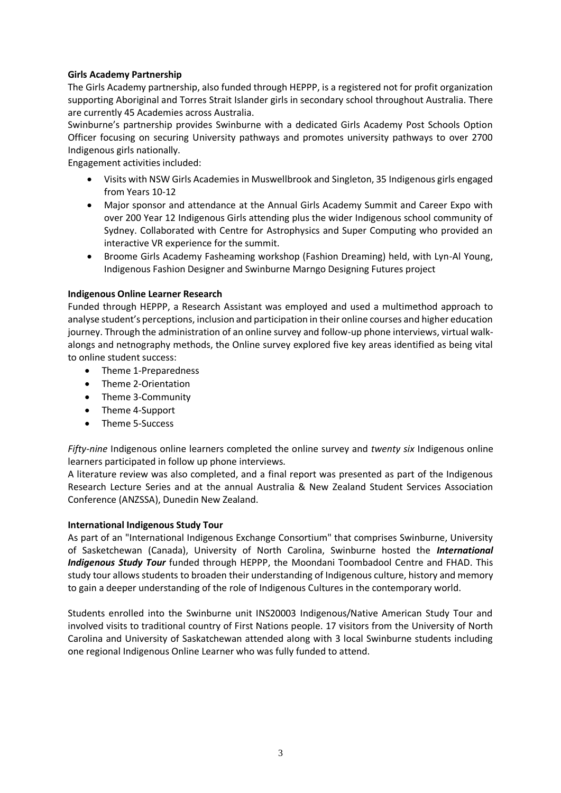### **Girls Academy Partnership**

The Girls Academy partnership, also funded through HEPPP, is a registered not for profit organization supporting Aboriginal and Torres Strait Islander girls in secondary school throughout Australia. There are currently 45 Academies across Australia.

Swinburne's partnership provides Swinburne with a dedicated Girls Academy Post Schools Option Officer focusing on securing University pathways and promotes university pathways to over 2700 Indigenous girls nationally.

Engagement activities included:

- Visits with NSW Girls Academies in Muswellbrook and Singleton, 35 Indigenous girls engaged from Years 10-12
- Major sponsor and attendance at the Annual Girls Academy Summit and Career Expo with over 200 Year 12 Indigenous Girls attending plus the wider Indigenous school community of Sydney. Collaborated with Centre for Astrophysics and Super Computing who provided an interactive VR experience for the summit.
- Broome Girls Academy Fasheaming workshop (Fashion Dreaming) held, with Lyn-Al Young, Indigenous Fashion Designer and Swinburne Marngo Designing Futures project

#### **Indigenous Online Learner Research**

Funded through HEPPP, a Research Assistant was employed and used a multimethod approach to analyse student's perceptions, inclusion and participation in their online courses and higher education journey. Through the administration of an online survey and follow-up phone interviews, virtual walkalongs and netnography methods, the Online survey explored five key areas identified as being vital to online student success:

- Theme 1-Preparedness
- Theme 2-Orientation
- Theme 3-Community
- Theme 4-Support
- Theme 5-Success

*Fifty-nine* Indigenous online learners completed the online survey and *twenty six* Indigenous online learners participated in follow up phone interviews.

A literature review was also completed, and a final report was presented as part of the Indigenous Research Lecture Series and at the annual Australia & New Zealand Student Services Association Conference (ANZSSA), Dunedin New Zealand.

#### **International Indigenous Study Tour**

As part of an "International Indigenous Exchange Consortium" that comprises Swinburne, University of Sasketchewan (Canada), University of North Carolina, Swinburne hosted the *International Indigenous Study Tour* funded through HEPPP, the Moondani Toombadool Centre and FHAD. This study tour allows students to broaden their understanding of Indigenous culture, history and memory to gain a deeper understanding of the role of Indigenous Cultures in the contemporary world.

Students enrolled into the Swinburne unit INS20003 Indigenous/Native American Study Tour and involved visits to traditional country of First Nations people. 17 visitors from the University of North Carolina and University of Saskatchewan attended along with 3 local Swinburne students including one regional Indigenous Online Learner who was fully funded to attend.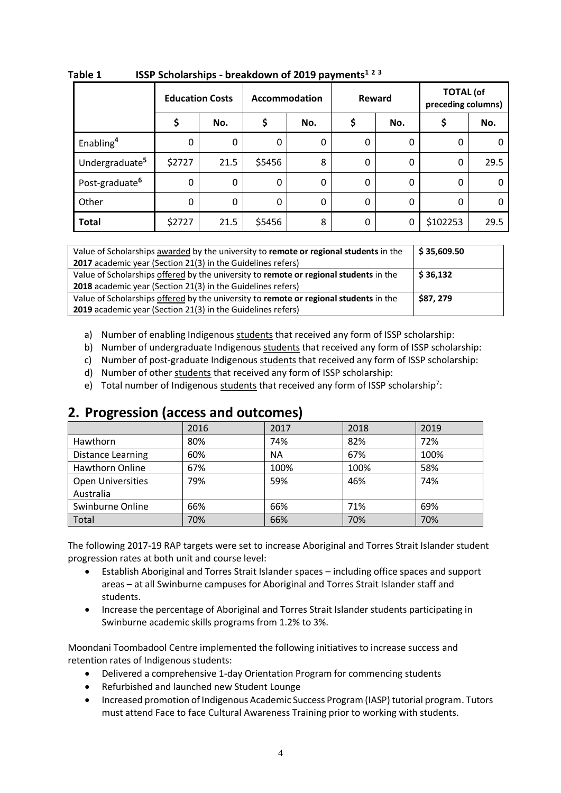|                            | <b>Education Costs</b> |      |             | Accommodation |             | Reward |          | <b>TOTAL</b> (of<br>preceding columns) |  |
|----------------------------|------------------------|------|-------------|---------------|-------------|--------|----------|----------------------------------------|--|
|                            |                        | No.  |             | No.           | \$          | No.    |          | No.                                    |  |
| Enabling <sup>4</sup>      | 0                      | 0    | 0           | 0             | $\mathbf 0$ | 0      | 0        | Ω                                      |  |
| Undergraduate <sup>5</sup> | \$2727                 | 21.5 | \$5456      | 8             | 0           | 0      | 0        | 29.5                                   |  |
| Post-graduate <sup>6</sup> | 0                      | 0    | $\mathbf 0$ | 0             | 0           | 0      | 0        | 0                                      |  |
| Other                      | 0                      | 0    | 0           | 0             | 0           | 0      | 0        | 0                                      |  |
| <b>Total</b>               | \$2727                 | 21.5 | \$5456      | 8             | 0           | 0      | \$102253 | 29.5                                   |  |

**Table 1 ISSP Scholarships - breakdown of 2019 payments<sup>1</sup> <sup>2</sup> <sup>3</sup>**

| Value of Scholarships awarded by the university to remote or regional students in the | \$35,609.50 |
|---------------------------------------------------------------------------------------|-------------|
| 2017 academic year (Section 21(3) in the Guidelines refers)                           |             |
| Value of Scholarships offered by the university to remote or regional students in the | \$36,132    |
| 2018 academic year (Section 21(3) in the Guidelines refers)                           |             |
| Value of Scholarships offered by the university to remote or regional students in the | \$87, 279   |
| 2019 academic year (Section 21(3) in the Guidelines refers)                           |             |

- a) Number of enabling Indigenous students that received any form of ISSP scholarship:
- b) Number of undergraduate Indigenous students that received any form of ISSP scholarship:
- c) Number of post-graduate Indigenous students that received any form of ISSP scholarship:
- d) Number of other students that received any form of ISSP scholarship:
- e) Total number of Indigenous students that received any form of ISSP scholarship<sup>7</sup>:

# **2. Progression (access and outcomes)**

|                          | 2016 | 2017      | 2018 | 2019 |
|--------------------------|------|-----------|------|------|
| Hawthorn                 | 80%  | 74%       | 82%  | 72%  |
| <b>Distance Learning</b> | 60%  | <b>NA</b> | 67%  | 100% |
| <b>Hawthorn Online</b>   | 67%  | 100%      | 100% | 58%  |
| <b>Open Universities</b> | 79%  | 59%       | 46%  | 74%  |
| Australia                |      |           |      |      |
| Swinburne Online         | 66%  | 66%       | 71%  | 69%  |
| Total                    | 70%  | 66%       | 70%  | 70%  |

The following 2017-19 RAP targets were set to increase Aboriginal and Torres Strait Islander student progression rates at both unit and course level:

- Establish Aboriginal and Torres Strait Islander spaces including office spaces and support areas – at all Swinburne campuses for Aboriginal and Torres Strait Islander staff and students.
- Increase the percentage of Aboriginal and Torres Strait Islander students participating in Swinburne academic skills programs from 1.2% to 3%.

Moondani Toombadool Centre implemented the following initiatives to increase success and retention rates of Indigenous students:

- Delivered a comprehensive 1-day Orientation Program for commencing students
- Refurbished and launched new Student Lounge
- Increased promotion of Indigenous Academic Success Program (IASP) tutorial program. Tutors must attend Face to face Cultural Awareness Training prior to working with students.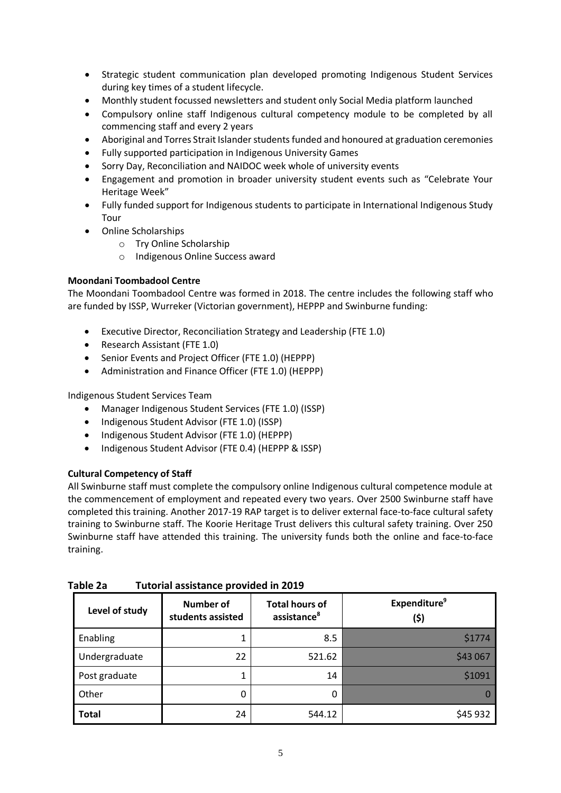- Strategic student communication plan developed promoting Indigenous Student Services during key times of a student lifecycle.
- Monthly student focussed newsletters and student only Social Media platform launched
- Compulsory online staff Indigenous cultural competency module to be completed by all commencing staff and every 2 years
- Aboriginal and Torres Strait Islander students funded and honoured at graduation ceremonies
- Fully supported participation in Indigenous University Games
- Sorry Day, Reconciliation and NAIDOC week whole of university events
- Engagement and promotion in broader university student events such as "Celebrate Your Heritage Week"
- Fully funded support for Indigenous students to participate in International Indigenous Study Tour
- Online Scholarships
	- o Try Online Scholarship
	- o Indigenous Online Success award

### **Moondani Toombadool Centre**

The Moondani Toombadool Centre was formed in 2018. The centre includes the following staff who are funded by ISSP, Wurreker (Victorian government), HEPPP and Swinburne funding:

- Executive Director, Reconciliation Strategy and Leadership (FTE 1.0)
- Research Assistant (FTE 1.0)
- Senior Events and Project Officer (FTE 1.0) (HEPPP)
- Administration and Finance Officer (FTE 1.0) (HEPPP)

Indigenous Student Services Team

- Manager Indigenous Student Services (FTE 1.0) (ISSP)
- Indigenous Student Advisor (FTE 1.0) (ISSP)
- Indigenous Student Advisor (FTE 1.0) (HEPPP)
- Indigenous Student Advisor (FTE 0.4) (HEPPP & ISSP)

### **Cultural Competency of Staff**

All Swinburne staff must complete the compulsory online Indigenous cultural competence module at the commencement of employment and repeated every two years. Over 2500 Swinburne staff have completed this training. Another 2017-19 RAP target is to deliver external face-to-face cultural safety training to Swinburne staff. The Koorie Heritage Trust delivers this cultural safety training. Over 250 Swinburne staff have attended this training. The university funds both the online and face-to-face training.

| Level of study | Number of<br>students assisted | <b>Total hours of</b><br>assistance <sup>8</sup> | <b>Expenditure</b> <sup>9</sup><br>(\$) |
|----------------|--------------------------------|--------------------------------------------------|-----------------------------------------|
| Enabling       | 1                              | 8.5                                              | \$1774                                  |
| Undergraduate  | 22                             | 521.62                                           | \$43 067                                |
| Post graduate  | 1                              | 14                                               | \$1091                                  |
| Other          | 0                              | 0                                                |                                         |
| <b>Total</b>   | 24                             | 544.12                                           | \$45 932                                |

**Table 2a Tutorial assistance provided in 2019**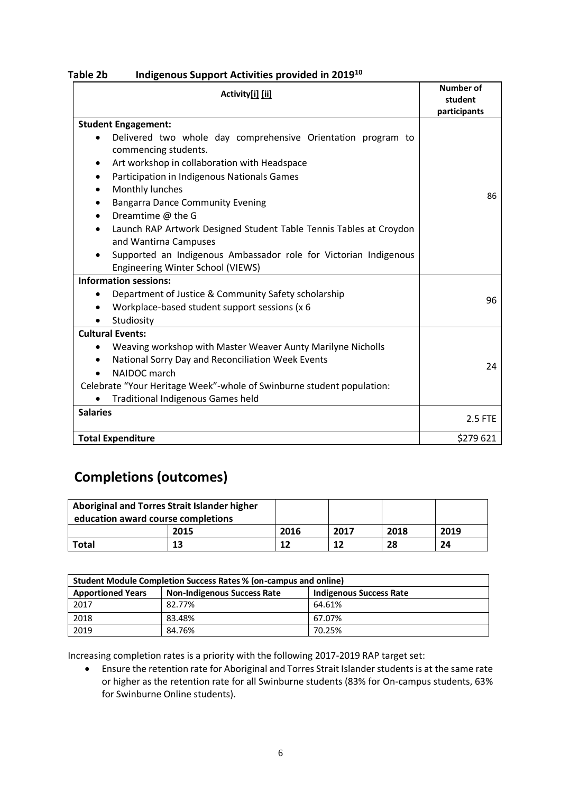| Table 2b | Indigenous Support Activities provided in 2019 <sup>10</sup> |
|----------|--------------------------------------------------------------|
|----------|--------------------------------------------------------------|

| Activity[i] [ii]                                                                                                                                                                                                                                            | <b>Number of</b><br>student<br>participants |
|-------------------------------------------------------------------------------------------------------------------------------------------------------------------------------------------------------------------------------------------------------------|---------------------------------------------|
| <b>Student Engagement:</b>                                                                                                                                                                                                                                  |                                             |
| Delivered two whole day comprehensive Orientation program to<br>commencing students.<br>Art workshop in collaboration with Headspace<br>٠<br>Participation in Indigenous Nationals Games<br>٠<br>Monthly lunches                                            | 86                                          |
| <b>Bangarra Dance Community Evening</b>                                                                                                                                                                                                                     |                                             |
| Dreamtime @ the G<br>Launch RAP Artwork Designed Student Table Tennis Tables at Croydon<br>and Wantirna Campuses<br>Supported an Indigenous Ambassador role for Victorian Indigenous<br><b>Engineering Winter School (VIEWS)</b>                            |                                             |
| <b>Information sessions:</b>                                                                                                                                                                                                                                |                                             |
| Department of Justice & Community Safety scholarship<br>Workplace-based student support sessions (x 6<br>Studiosity                                                                                                                                         | 96                                          |
| <b>Cultural Events:</b>                                                                                                                                                                                                                                     |                                             |
| Weaving workshop with Master Weaver Aunty Marilyne Nicholls<br>National Sorry Day and Reconciliation Week Events<br>$\bullet$<br>NAIDOC march<br>Celebrate "Your Heritage Week"-whole of Swinburne student population:<br>Traditional Indigenous Games held | 24                                          |
| <b>Salaries</b>                                                                                                                                                                                                                                             | 2.5 FTE                                     |
| <b>Total Expenditure</b>                                                                                                                                                                                                                                    | \$279 621                                   |

# **Completions (outcomes)**

| Aboriginal and Torres Strait Islander higher<br>education award course completions |      |      |      |      |      |
|------------------------------------------------------------------------------------|------|------|------|------|------|
|                                                                                    | 2015 | 2016 | 2017 | 2018 | 2019 |
| Total<br>13                                                                        |      | 12   |      | 28   | 24   |

| Student Module Completion Success Rates % (on-campus and online) |                                    |                                |  |  |  |
|------------------------------------------------------------------|------------------------------------|--------------------------------|--|--|--|
| <b>Apportioned Years</b>                                         | <b>Non-Indigenous Success Rate</b> | <b>Indigenous Success Rate</b> |  |  |  |
| 2017                                                             | 82.77%                             | 64.61%                         |  |  |  |
| 2018                                                             | 83.48%                             | 67.07%                         |  |  |  |
| 2019                                                             | 84.76%                             | 70.25%                         |  |  |  |

Increasing completion rates is a priority with the following 2017-2019 RAP target set:

 Ensure the retention rate for Aboriginal and Torres Strait Islander students is at the same rate or higher as the retention rate for all Swinburne students (83% for On-campus students, 63% for Swinburne Online students).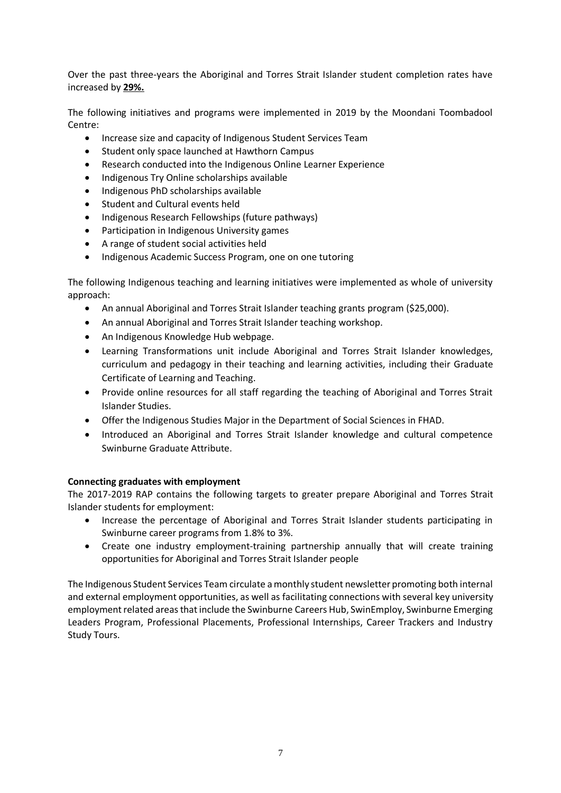Over the past three-years the Aboriginal and Torres Strait Islander student completion rates have increased by **29%.**

The following initiatives and programs were implemented in 2019 by the Moondani Toombadool Centre:

- Increase size and capacity of Indigenous Student Services Team
- Student only space launched at Hawthorn Campus
- Research conducted into the Indigenous Online Learner Experience
- Indigenous Try Online scholarships available
- Indigenous PhD scholarships available
- Student and Cultural events held
- Indigenous Research Fellowships (future pathways)
- Participation in Indigenous University games
- A range of student social activities held
- Indigenous Academic Success Program, one on one tutoring

The following Indigenous teaching and learning initiatives were implemented as whole of university approach:

- An annual Aboriginal and Torres Strait Islander teaching grants program (\$25,000).
- An annual Aboriginal and Torres Strait Islander teaching workshop.
- An Indigenous Knowledge Hub webpage.
- Learning Transformations unit include Aboriginal and Torres Strait Islander knowledges, curriculum and pedagogy in their teaching and learning activities, including their Graduate Certificate of Learning and Teaching.
- Provide online resources for all staff regarding the teaching of Aboriginal and Torres Strait Islander Studies.
- Offer the Indigenous Studies Major in the Department of Social Sciences in FHAD.
- Introduced an Aboriginal and Torres Strait Islander knowledge and cultural competence Swinburne Graduate Attribute.

#### **Connecting graduates with employment**

The 2017-2019 RAP contains the following targets to greater prepare Aboriginal and Torres Strait Islander students for employment:

- Increase the percentage of Aboriginal and Torres Strait Islander students participating in Swinburne career programs from 1.8% to 3%.
- Create one industry employment-training partnership annually that will create training opportunities for Aboriginal and Torres Strait Islander people

The Indigenous Student Services Team circulate a monthly student newsletter promoting both internal and external employment opportunities, as well as facilitating connections with several key university employment related areas that include the Swinburne Careers Hub, SwinEmploy, Swinburne Emerging Leaders Program, Professional Placements, Professional Internships, Career Trackers and Industry Study Tours.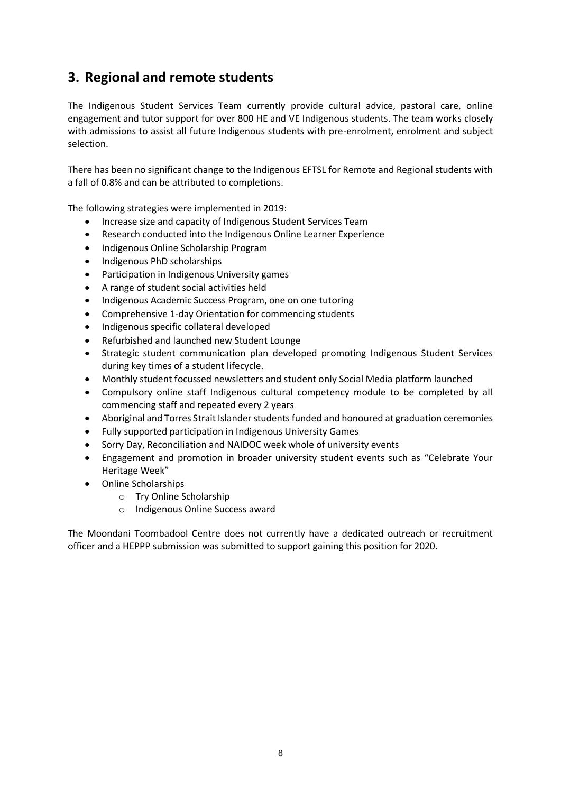# **3. Regional and remote students**

The Indigenous Student Services Team currently provide cultural advice, pastoral care, online engagement and tutor support for over 800 HE and VE Indigenous students. The team works closely with admissions to assist all future Indigenous students with pre-enrolment, enrolment and subject selection.

There has been no significant change to the Indigenous EFTSL for Remote and Regional students with a fall of 0.8% and can be attributed to completions.

The following strategies were implemented in 2019:

- Increase size and capacity of Indigenous Student Services Team
- Research conducted into the Indigenous Online Learner Experience
- Indigenous Online Scholarship Program
- Indigenous PhD scholarships
- Participation in Indigenous University games
- A range of student social activities held
- Indigenous Academic Success Program, one on one tutoring
- Comprehensive 1-day Orientation for commencing students
- Indigenous specific collateral developed
- Refurbished and launched new Student Lounge
- Strategic student communication plan developed promoting Indigenous Student Services during key times of a student lifecycle.
- Monthly student focussed newsletters and student only Social Media platform launched
- Compulsory online staff Indigenous cultural competency module to be completed by all commencing staff and repeated every 2 years
- Aboriginal and Torres Strait Islander students funded and honoured at graduation ceremonies
- Fully supported participation in Indigenous University Games
- Sorry Day, Reconciliation and NAIDOC week whole of university events
- Engagement and promotion in broader university student events such as "Celebrate Your Heritage Week"
- Online Scholarships
	- o Try Online Scholarship
	- o Indigenous Online Success award

The Moondani Toombadool Centre does not currently have a dedicated outreach or recruitment officer and a HEPPP submission was submitted to support gaining this position for 2020.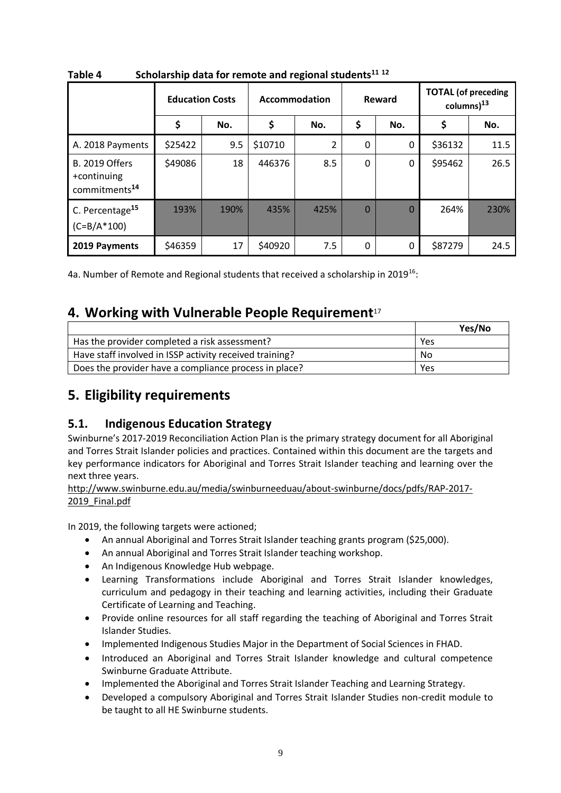|                                                                   | <b>Education Costs</b> |      | Accommodation |      | Reward         |          | <b>TOTAL</b> (of preceding<br>columns) <sup>13</sup> |      |
|-------------------------------------------------------------------|------------------------|------|---------------|------|----------------|----------|------------------------------------------------------|------|
|                                                                   | \$                     | No.  | \$            | No.  | \$             | No.      | \$                                                   | No.  |
| A. 2018 Payments                                                  | \$25422                | 9.5  | \$10710       | 2    | 0              | 0        | \$36132                                              | 11.5 |
| <b>B. 2019 Offers</b><br>+continuing<br>commitments <sup>14</sup> | \$49086                | 18   | 446376        | 8.5  | $\mathbf 0$    | $\Omega$ | \$95462                                              | 26.5 |
| C. Percentage <sup>15</sup><br>$(C = B/A * 100)$                  | 193%                   | 190% | 435%          | 425% | $\overline{0}$ | $\Omega$ | 264%                                                 | 230% |
| 2019 Payments                                                     | \$46359                | 17   | \$40920       | 7.5  | 0              | 0        | \$87279                                              | 24.5 |

**Table 4 Scholarship data for remote and regional students<sup>11</sup> <sup>12</sup>**

4a. Number of Remote and Regional students that received a scholarship in 2019<sup>16</sup>:

# **4. Working with Vulnerable People Requirement**<sup>17</sup>

|                                                         | Yes/No |
|---------------------------------------------------------|--------|
| Has the provider completed a risk assessment?           | Yes    |
| Have staff involved in ISSP activity received training? | No     |
| Does the provider have a compliance process in place?   | Yes    |

# **5. Eligibility requirements**

## **5.1. Indigenous Education Strategy**

Swinburne's 2017-2019 Reconciliation Action Plan is the primary strategy document for all Aboriginal and Torres Strait Islander policies and practices. Contained within this document are the targets and key performance indicators for Aboriginal and Torres Strait Islander teaching and learning over the next three years.

[http://www.swinburne.edu.au/media/swinburneeduau/about-swinburne/docs/pdfs/RAP-2017-](http://www.swinburne.edu.au/media/swinburneeduau/about-swinburne/docs/pdfs/RAP-2017-2019_Final.pdf) 2019 Final.pdf

In 2019, the following targets were actioned;

- An annual Aboriginal and Torres Strait Islander teaching grants program (\$25,000).
- An annual Aboriginal and Torres Strait Islander teaching workshop.
- An Indigenous Knowledge Hub webpage.
- Learning Transformations include Aboriginal and Torres Strait Islander knowledges, curriculum and pedagogy in their teaching and learning activities, including their Graduate Certificate of Learning and Teaching.
- Provide online resources for all staff regarding the teaching of Aboriginal and Torres Strait Islander Studies.
- Implemented Indigenous Studies Major in the Department of Social Sciences in FHAD.
- Introduced an Aboriginal and Torres Strait Islander knowledge and cultural competence Swinburne Graduate Attribute.
- Implemented the Aboriginal and Torres Strait Islander Teaching and Learning Strategy.
- Developed a compulsory Aboriginal and Torres Strait Islander Studies non-credit module to be taught to all HE Swinburne students.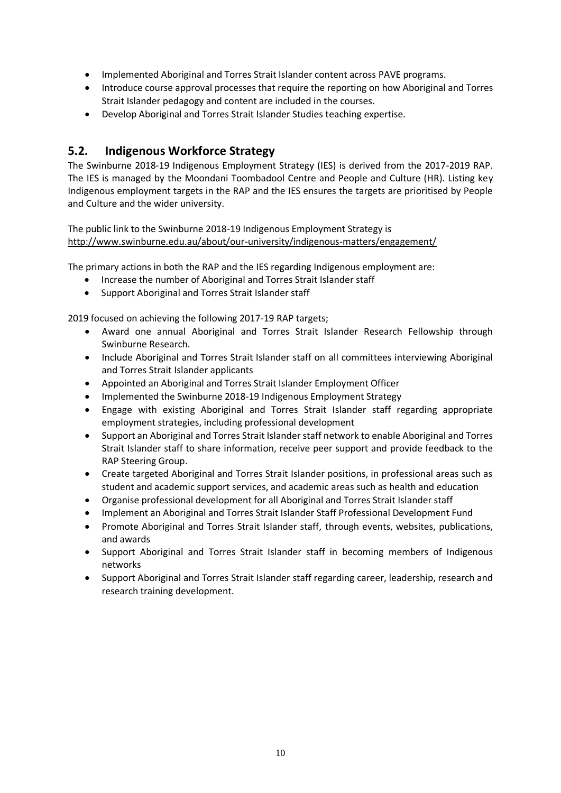- Implemented Aboriginal and Torres Strait Islander content across PAVE programs.
- Introduce course approval processes that require the reporting on how Aboriginal and Torres Strait Islander pedagogy and content are included in the courses.
- Develop Aboriginal and Torres Strait Islander Studies teaching expertise.

## **5.2. Indigenous Workforce Strategy**

The Swinburne 2018-19 Indigenous Employment Strategy (IES) is derived from the 2017-2019 RAP. The IES is managed by the Moondani Toombadool Centre and People and Culture (HR). Listing key Indigenous employment targets in the RAP and the IES ensures the targets are prioritised by People and Culture and the wider university.

The public link to the Swinburne 2018-19 Indigenous Employment Strategy is <http://www.swinburne.edu.au/about/our-university/indigenous-matters/engagement/>

The primary actions in both the RAP and the IES regarding Indigenous employment are:

- Increase the number of Aboriginal and Torres Strait Islander staff
- Support Aboriginal and Torres Strait Islander staff

2019 focused on achieving the following 2017-19 RAP targets;

- Award one annual Aboriginal and Torres Strait Islander Research Fellowship through Swinburne Research.
- Include Aboriginal and Torres Strait Islander staff on all committees interviewing Aboriginal and Torres Strait Islander applicants
- Appointed an Aboriginal and Torres Strait Islander Employment Officer
- Implemented the Swinburne 2018-19 Indigenous Employment Strategy
- Engage with existing Aboriginal and Torres Strait Islander staff regarding appropriate employment strategies, including professional development
- Support an Aboriginal and Torres Strait Islander staff network to enable Aboriginal and Torres Strait Islander staff to share information, receive peer support and provide feedback to the RAP Steering Group.
- Create targeted Aboriginal and Torres Strait Islander positions, in professional areas such as student and academic support services, and academic areas such as health and education
- Organise professional development for all Aboriginal and Torres Strait Islander staff
- Implement an Aboriginal and Torres Strait Islander Staff Professional Development Fund
- Promote Aboriginal and Torres Strait Islander staff, through events, websites, publications, and awards
- Support Aboriginal and Torres Strait Islander staff in becoming members of Indigenous networks
- Support Aboriginal and Torres Strait Islander staff regarding career, leadership, research and research training development.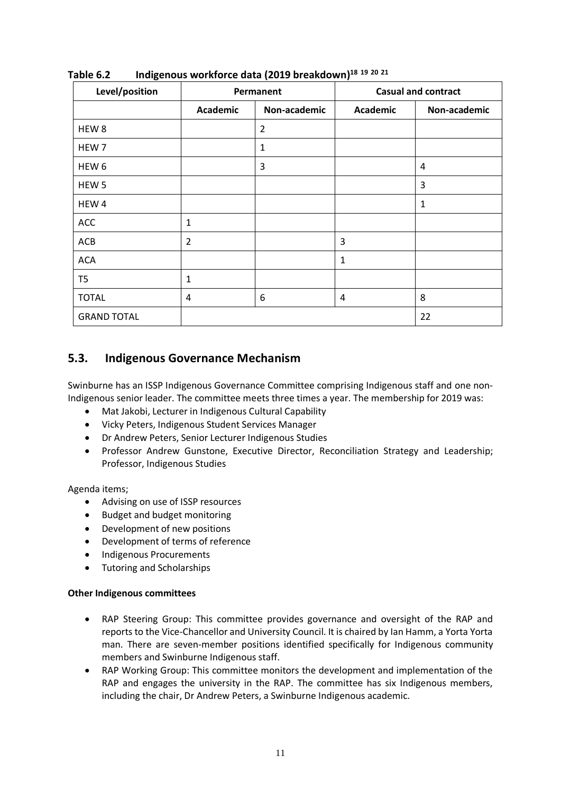| Level/position     | Permanent       |                |                 | <b>Casual and contract</b> |
|--------------------|-----------------|----------------|-----------------|----------------------------|
|                    | <b>Academic</b> | Non-academic   | <b>Academic</b> | Non-academic               |
| HEW <sub>8</sub>   |                 | $\overline{2}$ |                 |                            |
| HEW 7              |                 | 1              |                 |                            |
| HEW <sub>6</sub>   |                 | 3              |                 | 4                          |
| HEW <sub>5</sub>   |                 |                |                 | 3                          |
| HEW 4              |                 |                |                 | $\mathbf{1}$               |
| <b>ACC</b>         | $\mathbf 1$     |                |                 |                            |
| ACB                | $\overline{2}$  |                | 3               |                            |
| ACA                |                 |                | 1               |                            |
| T <sub>5</sub>     | 1               |                |                 |                            |
| <b>TOTAL</b>       | 4               | 6              | 4               | 8                          |
| <b>GRAND TOTAL</b> |                 |                |                 | 22                         |

**Table 6.2 Indigenous workforce data (2019 breakdown) 18 19 20 21**

## **5.3. Indigenous Governance Mechanism**

Swinburne has an ISSP Indigenous Governance Committee comprising Indigenous staff and one non-Indigenous senior leader. The committee meets three times a year. The membership for 2019 was:

- Mat Jakobi, Lecturer in Indigenous Cultural Capability
- Vicky Peters, Indigenous Student Services Manager
- Dr Andrew Peters, Senior Lecturer Indigenous Studies
- Professor Andrew Gunstone, Executive Director, Reconciliation Strategy and Leadership; Professor, Indigenous Studies

Agenda items;

- Advising on use of ISSP resources
- Budget and budget monitoring
- Development of new positions
- Development of terms of reference
- Indigenous Procurements
- Tutoring and Scholarships

### **Other Indigenous committees**

- RAP Steering Group: This committee provides governance and oversight of the RAP and reports to the Vice-Chancellor and University Council. It is chaired by Ian Hamm, a Yorta Yorta man. There are seven-member positions identified specifically for Indigenous community members and Swinburne Indigenous staff.
- RAP Working Group: This committee monitors the development and implementation of the RAP and engages the university in the RAP. The committee has six Indigenous members, including the chair, Dr Andrew Peters, a Swinburne Indigenous academic.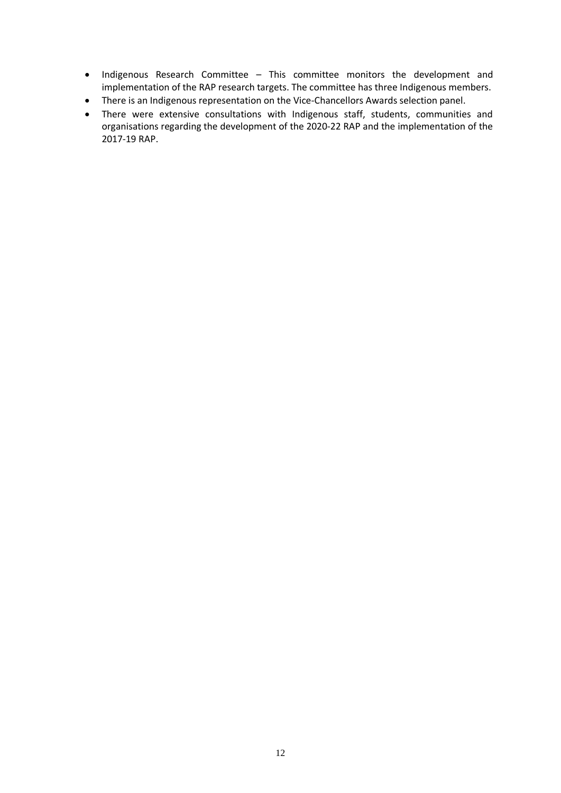- Indigenous Research Committee This committee monitors the development and implementation of the RAP research targets. The committee has three Indigenous members.
- There is an Indigenous representation on the Vice-Chancellors Awards selection panel.
- There were extensive consultations with Indigenous staff, students, communities and organisations regarding the development of the 2020-22 RAP and the implementation of the 2017-19 RAP.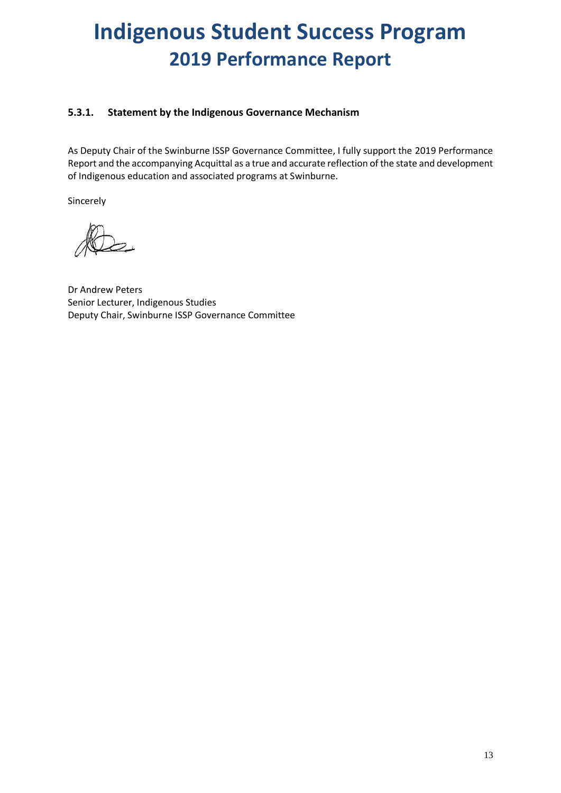# **Indigenous Student Success Program 2019 Performance Report**

## **5.3.1. Statement by the Indigenous Governance Mechanism**

As Deputy Chair of the Swinburne ISSP Governance Committee, I fully support the 2019 Performance Report and the accompanying Acquittal as a true and accurate reflection of the state and development of Indigenous education and associated programs at Swinburne.

Sincerely

Dr Andrew Peters Senior Lecturer, Indigenous Studies Deputy Chair, Swinburne ISSP Governance Committee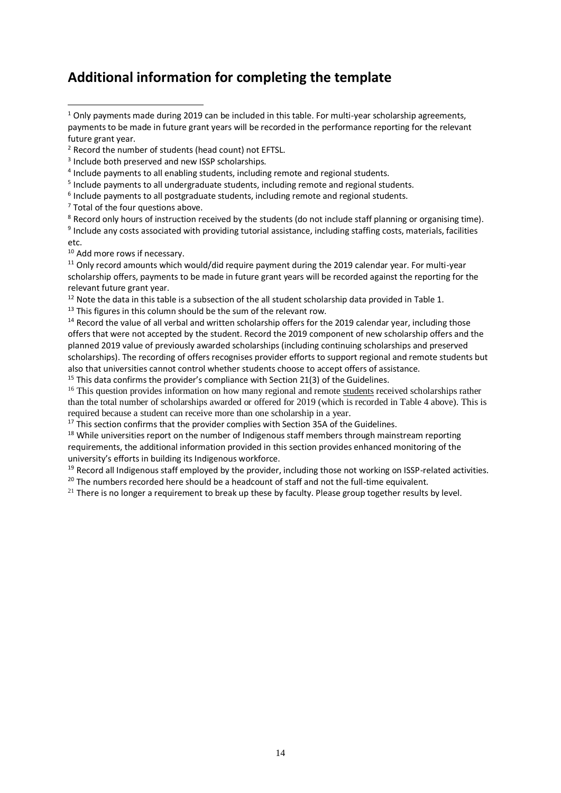# **Additional information for completing the template**

<sup>5</sup> Include payments to all undergraduate students, including remote and regional students.

<sup>6</sup> Include payments to all postgraduate students, including remote and regional students.

 $<sup>7</sup>$  Total of the four questions above.</sup>

<sup>8</sup> Record only hours of instruction received by the students (do not include staff planning or organising time). <sup>9</sup> Include any costs associated with providing tutorial assistance, including staffing costs, materials, facilities etc.

<sup>10</sup> Add more rows if necessary.

 $11$  Only record amounts which would/did require payment during the 2019 calendar year. For multi-year scholarship offers, payments to be made in future grant years will be recorded against the reporting for the relevant future grant year.

 $12$  Note the data in this table is a subsection of the all student scholarship data provided in Table 1.

 $13$  This figures in this column should be the sum of the relevant row.

<sup>14</sup> Record the value of all verbal and written scholarship offers for the 2019 calendar year, including those offers that were not accepted by the student. Record the 2019 component of new scholarship offers and the planned 2019 value of previously awarded scholarships (including continuing scholarships and preserved scholarships). The recording of offers recognises provider efforts to support regional and remote students but also that universities cannot control whether students choose to accept offers of assistance.

 $15$  This data confirms the provider's compliance with Section 21(3) of the Guidelines.

<sup>16</sup> This question provides information on how many regional and remote students received scholarships rather than the total number of scholarships awarded or offered for 2019 (which is recorded in Table 4 above). This is required because a student can receive more than one scholarship in a year.

<sup>17</sup> This section confirms that the provider complies with Section 35A of the Guidelines.

<sup>18</sup> While universities report on the number of Indigenous staff members through mainstream reporting requirements, the additional information provided in this section provides enhanced monitoring of the university's efforts in building its Indigenous workforce.

<sup>19</sup> Record all Indigenous staff employed by the provider, including those not working on ISSP-related activities.

 $20$  The numbers recorded here should be a headcount of staff and not the full-time equivalent.

 $21$  There is no longer a requirement to break up these by faculty. Please group together results by level.

 $1$  Only payments made during 2019 can be included in this table. For multi-year scholarship agreements, payments to be made in future grant years will be recorded in the performance reporting for the relevant future grant year. -

<sup>2</sup> Record the number of students (head count) not EFTSL.

<sup>&</sup>lt;sup>3</sup> Include both preserved and new ISSP scholarships.

<sup>&</sup>lt;sup>4</sup> Include payments to all enabling students, including remote and regional students.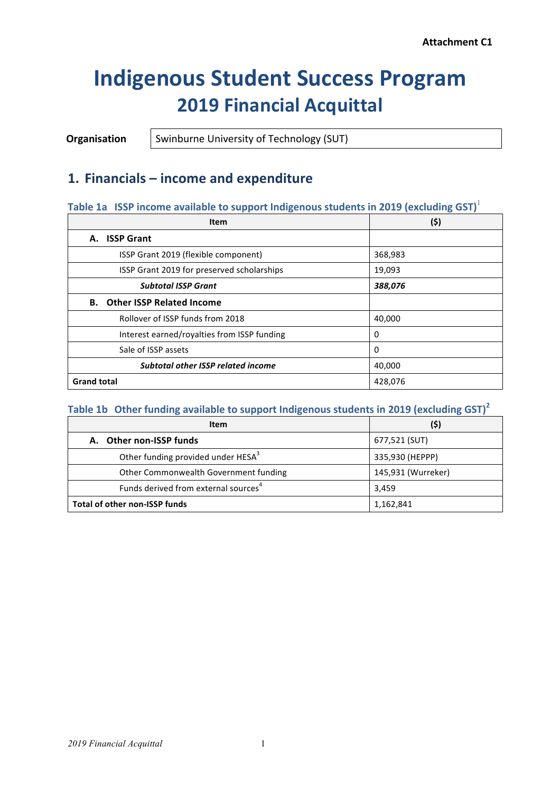# **Indigenous Student Success Program 2019 Financial Acquittal**

**Organisation** | Swinburne University of Technology (SUT)

## **1. Financials – income and expenditure**

## **Table 1a ISSP** income available to support Indigenous students in 2019 (excluding GST)<sup>1</sup>

| <b>Item</b>                                 | (5)     |
|---------------------------------------------|---------|
| <b>ISSP Grant</b><br>А.                     |         |
| ISSP Grant 2019 (flexible component)        | 368,983 |
| ISSP Grant 2019 for preserved scholarships  | 19,093  |
| <b>Subtotal ISSP Grant</b>                  | 388,076 |
| <b>B.</b> Other ISSP Related Income         |         |
| Rollover of ISSP funds from 2018            | 40,000  |
| Interest earned/royalties from ISSP funding | 0       |
| Sale of ISSP assets                         | 0       |
| <b>Subtotal other ISSP related income</b>   | 40,000  |
| <b>Grand total</b>                          | 428,076 |

## Table 1b Other funding available to support Indigenous students in 2019 (excluding GST)<sup>2</sup>

| <b>Item</b>                                      | (\$)               |
|--------------------------------------------------|--------------------|
| A. Other non-ISSP funds                          | 677,521 (SUT)      |
| Other funding provided under HESA <sup>3</sup>   | 335,930 (HEPPP)    |
| Other Commonwealth Government funding            | 145,931 (Wurreker) |
| Funds derived from external sources <sup>4</sup> | 3,459              |
| Total of other non-ISSP funds                    | 1,162,841          |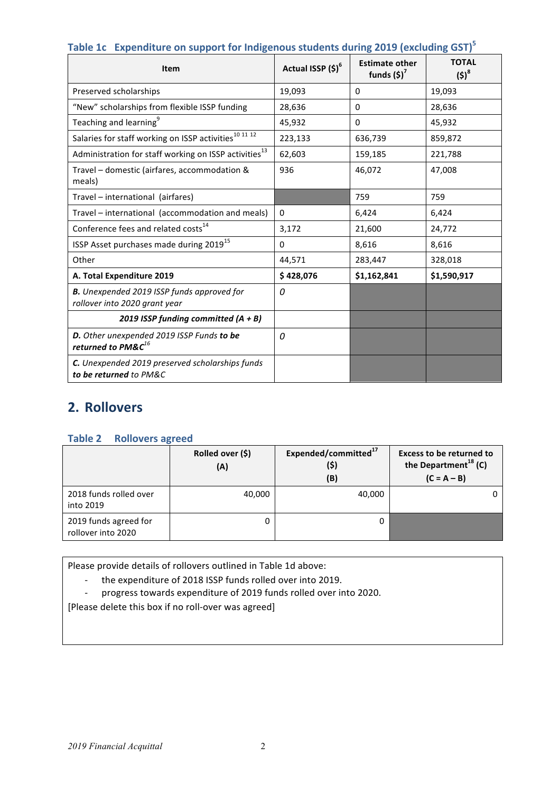| <b>Item</b>                                                                        | Actual ISSP (\$) <sup>6</sup> | <b>Estimate other</b><br>funds $(5)^7$ | <b>TOTAL</b><br>$(5)^8$ |
|------------------------------------------------------------------------------------|-------------------------------|----------------------------------------|-------------------------|
| Preserved scholarships                                                             | 19,093                        | 0                                      | 19,093                  |
| "New" scholarships from flexible ISSP funding                                      | 28,636                        | $\Omega$                               | 28,636                  |
| Teaching and learning <sup>9</sup>                                                 | 45,932                        | 0                                      | 45,932                  |
| Salaries for staff working on ISSP activities <sup>10 11 12</sup>                  | 223,133                       | 636,739                                | 859,872                 |
| Administration for staff working on ISSP activities <sup>13</sup>                  | 62,603                        | 159,185                                | 221,788                 |
| Travel - domestic (airfares, accommodation &<br>meals)                             | 936                           | 46,072                                 | 47,008                  |
| Travel - international (airfares)                                                  |                               | 759                                    | 759                     |
| Travel - international (accommodation and meals)                                   | $\Omega$                      | 6,424                                  | 6,424                   |
| Conference fees and related costs <sup>14</sup>                                    | 3,172                         | 21,600                                 | 24,772                  |
| ISSP Asset purchases made during 2019 <sup>15</sup>                                | $\Omega$                      | 8,616                                  | 8,616                   |
| Other                                                                              | 44,571                        | 283,447                                | 328,018                 |
| A. Total Expenditure 2019                                                          | \$428,076                     | \$1,162,841                            | \$1,590,917             |
| <b>B.</b> Unexpended 2019 ISSP funds approved for<br>rollover into 2020 grant year | 0                             |                                        |                         |
| 2019 ISSP funding committed $(A + B)$                                              |                               |                                        |                         |
| D. Other unexpended 2019 ISSP Funds to be<br>returned to PM& $C^{16}$              | 0                             |                                        |                         |
| C. Unexpended 2019 preserved scholarships funds<br>to be returned to PM&C          |                               |                                        |                         |

## **Table 1c Expenditure** on support for Indigenous students during 2019 (excluding GST)<sup>5</sup>

# **2. Rollovers**

## **Table 2 Rollovers agreed**

|                                             | Rolled over (\$)<br>(A) | Expended/committed <sup>17</sup><br>(\$)<br>(B) | <b>Excess to be returned to</b><br>the Department <sup>18</sup> (C)<br>$(C = A - B)$ |
|---------------------------------------------|-------------------------|-------------------------------------------------|--------------------------------------------------------------------------------------|
| 2018 funds rolled over<br>into 2019         | 40,000                  | 40,000                                          |                                                                                      |
| 2019 funds agreed for<br>rollover into 2020 |                         | 0                                               |                                                                                      |

Please provide details of rollovers outlined in Table 1d above:

- the expenditure of 2018 ISSP funds rolled over into 2019.
- progress towards expenditure of 2019 funds rolled over into 2020.

[Please delete this box if no roll-over was agreed]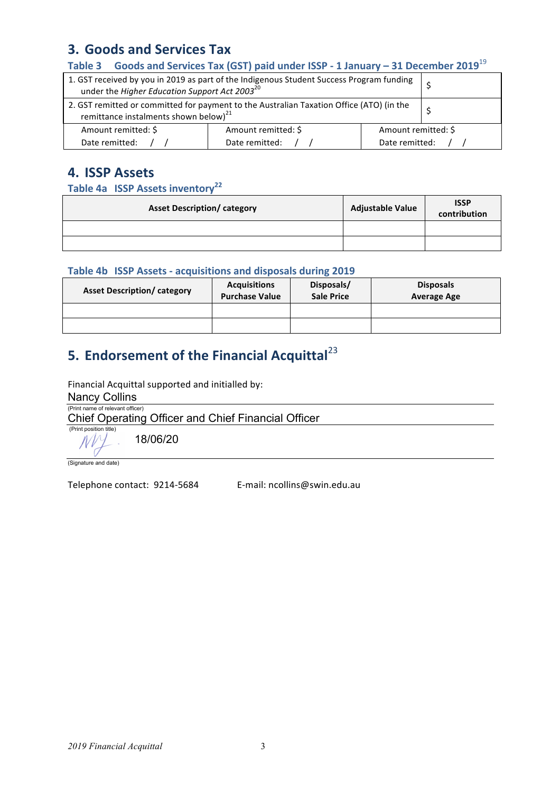# **3. Goods and Services Tax**

### **Table 3 Goods and Services Tax (GST) paid under ISSP - 1 January – 31 December 2019**<sup>19</sup>

| 1. GST received by you in 2019 as part of the Indigenous Student Success Program funding<br>under the Higher Education Support Act 2003 <sup>20</sup> |                                       |                                       |  |
|-------------------------------------------------------------------------------------------------------------------------------------------------------|---------------------------------------|---------------------------------------|--|
| 2. GST remitted or committed for payment to the Australian Taxation Office (ATO) (in the<br>remittance instalments shown below) $^{21}$               |                                       |                                       |  |
| Amount remitted: \$<br>Date remitted:                                                                                                                 | Amount remitted: \$<br>Date remitted: | Amount remitted: \$<br>Date remitted: |  |

## **4. ISSP Assets**

## **Table 4a ISSP Assets inventory<sup>22</sup>**

| <b>Asset Description/ category</b> | <b>Adjustable Value</b> | <b>ISSP</b><br>contribution |
|------------------------------------|-------------------------|-----------------------------|
|                                    |                         |                             |
|                                    |                         |                             |

### **Table 4b ISSP Assets - acquisitions and disposals during 2019**

| <b>Asset Description/category</b> | <b>Acquisitions</b><br><b>Purchase Value</b> | Disposals/<br><b>Sale Price</b> | <b>Disposals</b><br><b>Average Age</b> |
|-----------------------------------|----------------------------------------------|---------------------------------|----------------------------------------|
|                                   |                                              |                                 |                                        |
|                                   |                                              |                                 |                                        |

# **5.** Endorsement of the Financial Acquittal<sup>23</sup>

Financial Acquittal supported and initialled by:

Nancy Collins (Print name of relevant officer)

Chief Operating Officer and Chief Financial Officer

(Print position title) 18/06/20

(Signature and date)

Telephone contact: 9214-5684 E-mail: ncollins@swin.edu.au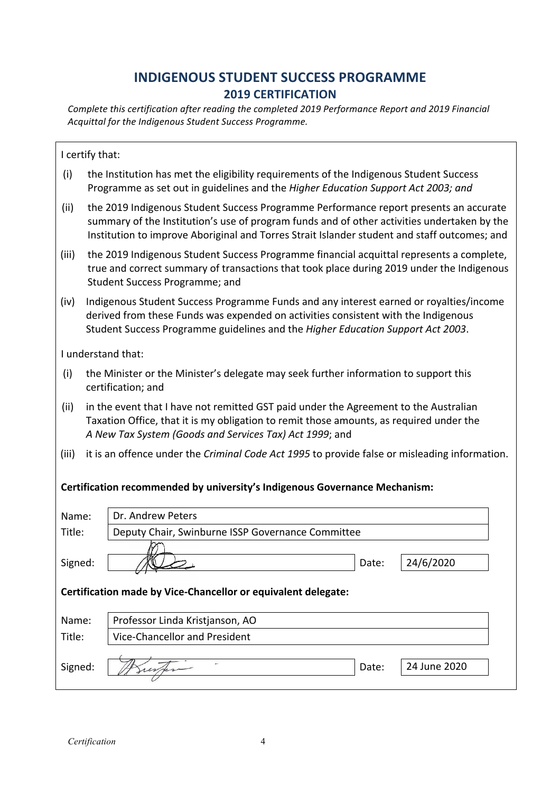# **INDIGENOUS STUDENT SUCCESS PROGRAMME 2019 CERTIFICATION**

*Complete this certification after reading the completed 2019 Performance Report and 2019 Financial* Acquittal for the Indigenous Student Success Programme.

|                                                                                                                                                                                                                                                                         | I certify that:                                                                                                                                                                                                                                                                      |  |  |  |
|-------------------------------------------------------------------------------------------------------------------------------------------------------------------------------------------------------------------------------------------------------------------------|--------------------------------------------------------------------------------------------------------------------------------------------------------------------------------------------------------------------------------------------------------------------------------------|--|--|--|
| (i)                                                                                                                                                                                                                                                                     | the Institution has met the eligibility requirements of the Indigenous Student Success<br>Programme as set out in guidelines and the Higher Education Support Act 2003; and                                                                                                          |  |  |  |
| (ii)                                                                                                                                                                                                                                                                    | the 2019 Indigenous Student Success Programme Performance report presents an accurate<br>summary of the Institution's use of program funds and of other activities undertaken by the<br>Institution to improve Aboriginal and Torres Strait Islander student and staff outcomes; and |  |  |  |
| (iii)                                                                                                                                                                                                                                                                   | the 2019 Indigenous Student Success Programme financial acquittal represents a complete,<br>true and correct summary of transactions that took place during 2019 under the Indigenous<br>Student Success Programme; and                                                              |  |  |  |
| Indigenous Student Success Programme Funds and any interest earned or royalties/income<br>(iv)<br>derived from these Funds was expended on activities consistent with the Indigenous<br>Student Success Programme guidelines and the Higher Education Support Act 2003. |                                                                                                                                                                                                                                                                                      |  |  |  |
|                                                                                                                                                                                                                                                                         | I understand that:                                                                                                                                                                                                                                                                   |  |  |  |
| (i)                                                                                                                                                                                                                                                                     | the Minister or the Minister's delegate may seek further information to support this<br>certification; and                                                                                                                                                                           |  |  |  |
| (ii)<br>in the event that I have not remitted GST paid under the Agreement to the Australian<br>Taxation Office, that it is my obligation to remit those amounts, as required under the<br>A New Tax System (Goods and Services Tax) Act 1999; and                      |                                                                                                                                                                                                                                                                                      |  |  |  |
| (iii)<br>it is an offence under the <i>Criminal Code Act 1995</i> to provide false or misleading information.                                                                                                                                                           |                                                                                                                                                                                                                                                                                      |  |  |  |
| Certification recommended by university's Indigenous Governance Mechanism:                                                                                                                                                                                              |                                                                                                                                                                                                                                                                                      |  |  |  |
| Name:                                                                                                                                                                                                                                                                   | Dr. Andrew Peters                                                                                                                                                                                                                                                                    |  |  |  |
| Title:                                                                                                                                                                                                                                                                  | Deputy Chair, Swinburne ISSP Governance Committee                                                                                                                                                                                                                                    |  |  |  |
| Signed:                                                                                                                                                                                                                                                                 | 24/6/2020<br>Date:                                                                                                                                                                                                                                                                   |  |  |  |
| Certification made by Vice-Chancellor or equivalent delegate:                                                                                                                                                                                                           |                                                                                                                                                                                                                                                                                      |  |  |  |
| Name:                                                                                                                                                                                                                                                                   | Professor Linda Kristjanson, AO                                                                                                                                                                                                                                                      |  |  |  |
| Title:                                                                                                                                                                                                                                                                  | <b>Vice-Chancellor and President</b>                                                                                                                                                                                                                                                 |  |  |  |
| Signed:                                                                                                                                                                                                                                                                 | 24 June 2020<br>Date:                                                                                                                                                                                                                                                                |  |  |  |